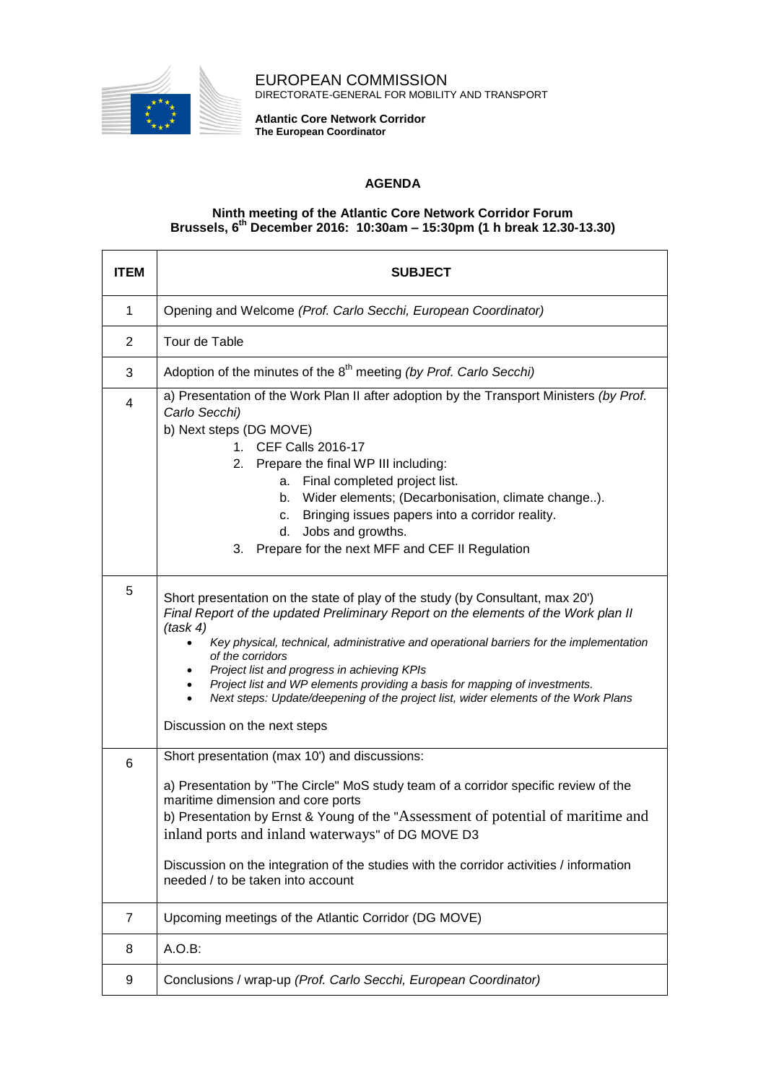

EUROPEAN COMMISSION DIRECTORATE-GENERAL FOR MOBILITY AND TRANSPORT

**Atlantic Core Network Corridor The European Coordinator**

## **AGENDA**

## **Ninth meeting of the Atlantic Core Network Corridor Forum Brussels, 6 th December 2016: 10:30am – 15:30pm (1 h break 12.30-13.30)**

| ITEM           | <b>SUBJECT</b>                                                                                                                                                                                                                                                                                                                                                                                                                                                                                                                                    |
|----------------|---------------------------------------------------------------------------------------------------------------------------------------------------------------------------------------------------------------------------------------------------------------------------------------------------------------------------------------------------------------------------------------------------------------------------------------------------------------------------------------------------------------------------------------------------|
| $\mathbf 1$    | Opening and Welcome (Prof. Carlo Secchi, European Coordinator)                                                                                                                                                                                                                                                                                                                                                                                                                                                                                    |
| 2              | Tour de Table                                                                                                                                                                                                                                                                                                                                                                                                                                                                                                                                     |
| 3              | Adoption of the minutes of the 8 <sup>th</sup> meeting (by Prof. Carlo Secchi)                                                                                                                                                                                                                                                                                                                                                                                                                                                                    |
| 4              | a) Presentation of the Work Plan II after adoption by the Transport Ministers (by Prof.<br>Carlo Secchi)<br>b) Next steps (DG MOVE)<br>1. CEF Calls 2016-17<br>2. Prepare the final WP III including:<br>a. Final completed project list.<br>b. Wider elements; (Decarbonisation, climate change).<br>Bringing issues papers into a corridor reality.<br>c.<br>Jobs and growths.<br>d.<br>Prepare for the next MFF and CEF II Regulation<br>3.                                                                                                    |
| 5              | Short presentation on the state of play of the study (by Consultant, max 20')<br>Final Report of the updated Preliminary Report on the elements of the Work plan II<br>(task 4)<br>Key physical, technical, administrative and operational barriers for the implementation<br>of the corridors<br>Project list and progress in achieving KPIs<br>Project list and WP elements providing a basis for mapping of investments.<br>Next steps: Update/deepening of the project list, wider elements of the Work Plans<br>Discussion on the next steps |
| 6              | Short presentation (max 10') and discussions:<br>a) Presentation by "The Circle" MoS study team of a corridor specific review of the<br>maritime dimension and core ports<br>b) Presentation by Ernst & Young of the "Assessment of potential of maritime and<br>inland ports and inland waterways" of DG MOVE D3<br>Discussion on the integration of the studies with the corridor activities / information<br>needed / to be taken into account                                                                                                 |
| $\overline{7}$ | Upcoming meetings of the Atlantic Corridor (DG MOVE)                                                                                                                                                                                                                                                                                                                                                                                                                                                                                              |
| 8              | A.O.B:                                                                                                                                                                                                                                                                                                                                                                                                                                                                                                                                            |
| 9              | Conclusions / wrap-up (Prof. Carlo Secchi, European Coordinator)                                                                                                                                                                                                                                                                                                                                                                                                                                                                                  |